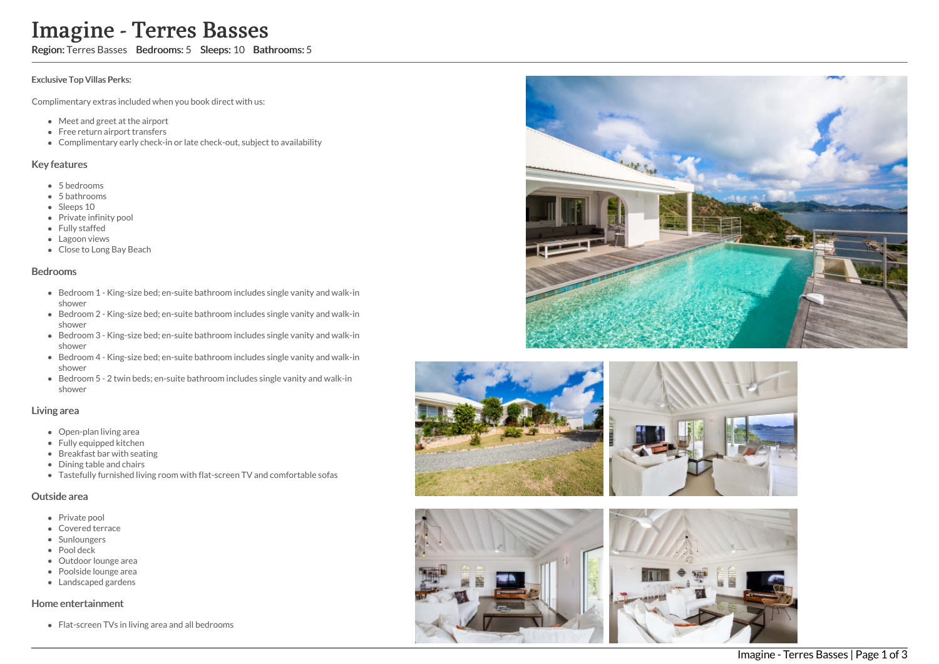# Imagine - Terres Basses

Region: Terres Basses Bedrooms: 5 Sleeps: 10 Bathrooms: 5

#### Exclusive Top Villas Perks:

Complimentary extras included when you book direct with us:

- Meet and greet at the airport
- Free return airport transfers
- Complimentary early check-in or late check-out, subject to availability

#### Key features

- 5 b e d r o o m s
- 5 bathrooms
- Sleeps 10
- Private infinity pool
- Fully staffed
- Lagoon views
- Close to Long Bay B e a c h

#### **Bedrooms**

- Bedroom 1 King-size bed; en-suite bathroom includes single vanity and walk-in s h o w e r
- Bedroom 2 King-size bed; en-suite bathroom includes single vanity and walk-in s h o w e r
- Bedroom 3 King-size bed; en-suite bathroom includes single vanity and walk-in s h o w e r
- Bedroom 4 King-size bed; en-suite bathroom includes single vanity and walk-in s h o w e r
- Bedroom 5 2 twin beds; en-suite bathroom includes single vanity and walk-in s h o w e r

#### Living area

- Open-plan living area
- Fully equipped kitchen
- Breakfast bar with seating
- Dining table and chairs
- Tastefully furnished living room with flat-screen TV and comfortable sofas

#### Outside area

- Private pool
- Covered terrace
- **Sunloungers**
- Pool deck
- Outdoor lounge area
- Poolside lounge area
- Landscaped gardens

### Home entertainment

Flat-screen TVs in living area and all bedrooms









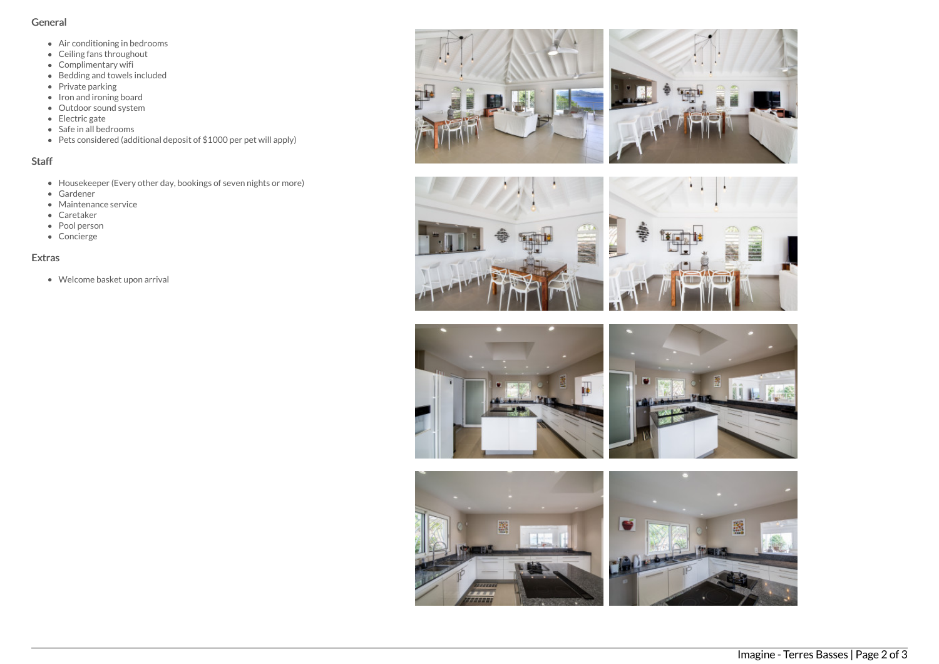## General

- Air conditioning in bedrooms
- Ceiling fans throughout
- Complimentary wifi
- Bedding and towels included
- Private parking
- $\bullet$  Iron and ironing board Outdoor sound system
- Electric gate
- Safe in all bedrooms
- Pets considered (additional deposit of \$1000 per pet will apply)

## Staff

- Housekeeper (Every other day, bookings of seven nights or more)
- Gardener
- Maintenance service
- Caretaker
- Pool person
- Concierge

# Extras

Welcome basket upon arrival